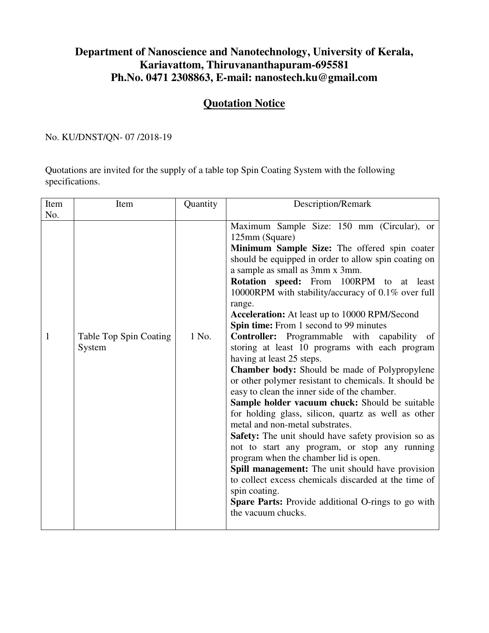## **Department of Nanoscience and Nanotechnology, University of Kerala, Kariavattom, Thiruvananthapuram-695581 Ph.No. 0471 2308863, E-mail: nanostech.ku@gmail.com**

## **Quotation Notice**

No. KU/DNST/QN- 07 /2018-19

Quotations are invited for the supply of a table top Spin Coating System with the following specifications.

| Item | Item                             | Quantity | Description/Remark                                                                                                                                                                                                                                                                                                                                                                                                                                                                                                                                                                                                                                                                                                                                                                                                                                                                                                                                                                                                                                                                                                                                                                                                                                       |
|------|----------------------------------|----------|----------------------------------------------------------------------------------------------------------------------------------------------------------------------------------------------------------------------------------------------------------------------------------------------------------------------------------------------------------------------------------------------------------------------------------------------------------------------------------------------------------------------------------------------------------------------------------------------------------------------------------------------------------------------------------------------------------------------------------------------------------------------------------------------------------------------------------------------------------------------------------------------------------------------------------------------------------------------------------------------------------------------------------------------------------------------------------------------------------------------------------------------------------------------------------------------------------------------------------------------------------|
| No.  |                                  |          |                                                                                                                                                                                                                                                                                                                                                                                                                                                                                                                                                                                                                                                                                                                                                                                                                                                                                                                                                                                                                                                                                                                                                                                                                                                          |
| 1    | Table Top Spin Coating<br>System | 1 No.    | Maximum Sample Size: 150 mm (Circular), or<br>125mm (Square)<br>Minimum Sample Size: The offered spin coater<br>should be equipped in order to allow spin coating on<br>a sample as small as 3mm x 3mm.<br><b>Rotation speed:</b> From 100RPM to at<br>least<br>10000RPM with stability/accuracy of 0.1% over full<br>range.<br>Acceleration: At least up to 10000 RPM/Second<br>Spin time: From 1 second to 99 minutes<br><b>Controller:</b> Programmable with capability of<br>storing at least 10 programs with each program<br>having at least 25 steps.<br><b>Chamber body:</b> Should be made of Polypropylene<br>or other polymer resistant to chemicals. It should be<br>easy to clean the inner side of the chamber.<br>Sample holder vacuum chuck: Should be suitable<br>for holding glass, silicon, quartz as well as other<br>metal and non-metal substrates.<br><b>Safety:</b> The unit should have safety provision so as<br>not to start any program, or stop any running<br>program when the chamber lid is open.<br><b>Spill management:</b> The unit should have provision<br>to collect excess chemicals discarded at the time of<br>spin coating.<br><b>Spare Parts:</b> Provide additional O-rings to go with<br>the vacuum chucks. |